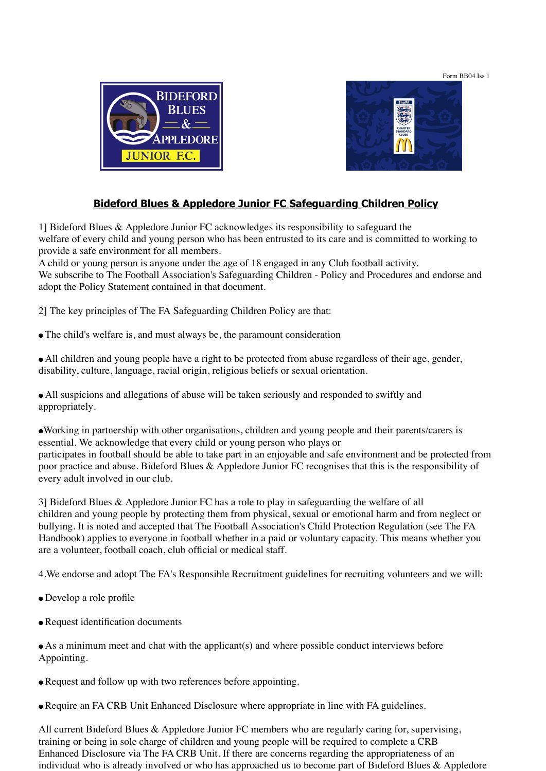Form BB04 Iss 1





# **Bideford Blues & Appledore Junior FC Safeguarding Children Policy**

1] Bideford Blues & Appledore Junior FC acknowledges its responsibility to safeguard the welfare of every child and young person who has been entrusted to its care and is committed to working to provide a safe environment for all members.

A child or young person is anyone under the age of 18 engaged in any Club football activity. We subscribe to The Football Association's Safeguarding Children - Policy and Procedures and endorse and adopt the Policy Statement contained in that document.

2] The key principles of The FA Safeguarding Children Policy are that:

- The child's welfare is, and must always be, the paramount consideration
- All children and young people have a right to be protected from abuse regardless of their age, gender, disability, culture, language, racial origin, religious beliefs or sexual orientation.

● All suspicions and allegations of abuse will be taken seriously and responded to swiftly and appropriately.

●Working in partnership with other organisations, children and young people and their parents/carers is essential. We acknowledge that every child or young person who plays or participates in football should be able to take part in an enjoyable and safe environment and be protected from poor practice and abuse. Bideford Blues & Appledore Junior FC recognises that this is the responsibility of every adult involved in our club.

3] Bideford Blues & Appledore Junior FC has a role to play in safeguarding the welfare of all children and young people by protecting them from physical, sexual or emotional harm and from neglect or bullying. It is noted and accepted that The Football Association's Child Protection Regulation (see The FA Handbook) applies to everyone in football whether in a paid or voluntary capacity. This means whether you are a volunteer, football coach, club official or medical staff.

4.We endorse and adopt The FA's Responsible Recruitment guidelines for recruiting volunteers and we will:

- Develop a role profile
- Request identification documents
- As a minimum meet and chat with the applicant(s) and where possible conduct interviews before Appointing.
- Request and follow up with two references before appointing.
- Require an FA CRB Unit Enhanced Disclosure where appropriate in line with FA guidelines.

All current Bideford Blues & Appledore Junior FC members who are regularly caring for, supervising, training or being in sole charge of children and young people will be required to complete a CRB Enhanced Disclosure via The FA CRB Unit. If there are concerns regarding the appropriateness of an individual who is already involved or who has approached us to become part of Bideford Blues & Appledore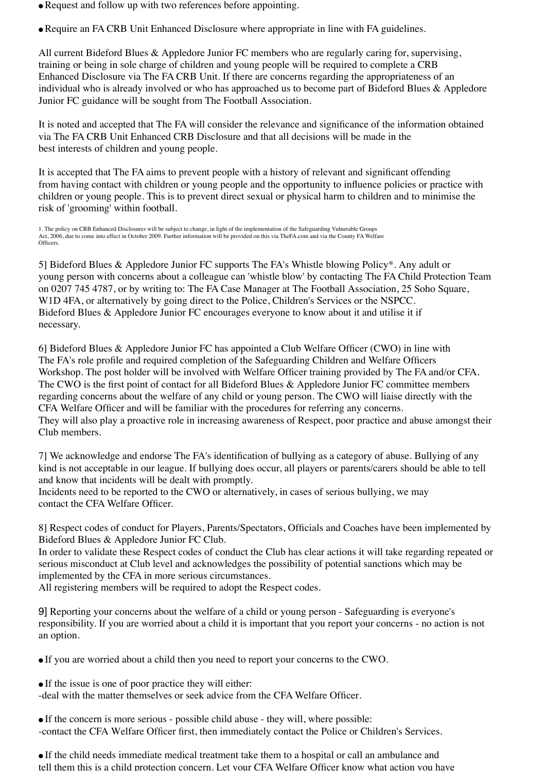• Request and follow up with two references before appointing.

● Require an FA CRB Unit Enhanced Disclosure where appropriate in line with FA guidelines.

All current Bideford Blues & Appledore Junior FC members who are regularly caring for, supervising, training or being in sole charge of children and young people will be required to complete a CRB Enhanced Disclosure via The FA CRB Unit. If there are concerns regarding the appropriateness of an individual who is already involved or who has approached us to become part of Bideford Blues & Appledore Junior FC guidance will be sought from The Football Association.

It is noted and accepted that The FA will consider the relevance and significance of the information obtained via The FA CRB Unit Enhanced CRB Disclosure and that all decisions will be made in the best interests of children and young people.

It is accepted that The FA aims to prevent people with a history of relevant and significant offending from having contact with children or young people and the opportunity to influence policies or practice with children or young people. This is to prevent direct sexual or physical harm to children and to minimise the risk of 'grooming' within football.

1. The policy on CRB Enhanced Disclosures will be subject to change, in light of the implementation of the Safeguarding Vulnerable Groups Act, 2006, due to come into effect in October 2009. Further information will be provided on this via TheFA.com and via the County FA Welfare Officers.

5] Bideford Blues & Appledore Junior FC supports The FA's Whistle blowing Policy\*. Any adult or young person with concerns about a colleague can 'whistle blow' by contacting The FA Child Protection Team on 0207 745 4787, or by writing to: The FA Case Manager at The Football Association, 25 Soho Square, W1D 4FA, or alternatively by going direct to the Police, Children's Services or the NSPCC. Bideford Blues & Appledore Junior FC encourages everyone to know about it and utilise it if necessary.

6] Bideford Blues & Appledore Junior FC has appointed a Club Welfare Officer (CWO) in line with The FA's role profile and required completion of the Safeguarding Children and Welfare Officers Workshop. The post holder will be involved with Welfare Officer training provided by The FA and/or CFA. The CWO is the first point of contact for all Bideford Blues & Appledore Junior FC committee members regarding concerns about the welfare of any child or young person. The CWO will liaise directly with the CFA Welfare Officer and will be familiar with the procedures for referring any concerns. They will also play a proactive role in increasing awareness of Respect, poor practice and abuse amongst their Club members.

7] We acknowledge and endorse The FA's identification of bullying as a category of abuse. Bullying of any kind is not acceptable in our league. If bullying does occur, all players or parents/carers should be able to tell and know that incidents will be dealt with promptly.

Incidents need to be reported to the CWO or alternatively, in cases of serious bullying, we may contact the CFA Welfare Officer.

8] Respect codes of conduct for Players, Parents/Spectators, Officials and Coaches have been implemented by Bideford Blues & Appledore Junior FC Club.

In order to validate these Respect codes of conduct the Club has clear actions it will take regarding repeated or serious misconduct at Club level and acknowledges the possibility of potential sanctions which may be implemented by the CFA in more serious circumstances.

All registering members will be required to adopt the Respect codes.

9] Reporting your concerns about the welfare of a child or young person - Safeguarding is everyone's responsibility. If you are worried about a child it is important that you report your concerns - no action is not an option.

● If you are worried about a child then you need to report your concerns to the CWO.

• If the issue is one of poor practice they will either:

-deal with the matter themselves or seek advice from the CFA Welfare Officer.

● If the concern is more serious - possible child abuse - they will, where possible: -contact the CFA Welfare Officer first, then immediately contact the Police or Children's Services.

● If the child needs immediate medical treatment take them to a hospital or call an ambulance and tell them this is a child protection concern. Let your CFA Welfare Officer know what action you have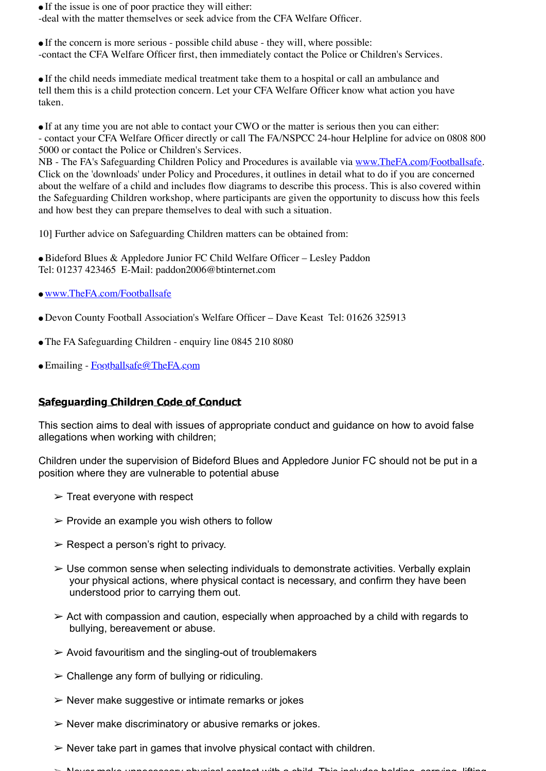● If the issue is one of poor practice they will either:

-deal with the matter themselves or seek advice from the CFA Welfare Officer.

● If the concern is more serious - possible child abuse - they will, where possible: -contact the CFA Welfare Officer first, then immediately contact the Police or Children's Services.

● If the child needs immediate medical treatment take them to a hospital or call an ambulance and tell them this is a child protection concern. Let your CFA Welfare Officer know what action you have taken.

● If at any time you are not able to contact your CWO or the matter is serious then you can either: - contact your CFA Welfare Officer directly or call The FA/NSPCC 24-hour Helpline for advice on 0808 800 5000 or contact the Police or Children's Services.

NB - The FA's Safeguarding Children Policy and Procedures is available via www.TheFA.com/Footballsafe. Click on the 'downloads' under Policy and Procedures, it outlines in detail what to do if you are concerned about the welfare of a child and includes flow diagrams to describe this process. This is also covered within the Safeguarding Children workshop, where participants are given the opportunity to discuss how this feels and how best they can prepare themselves to deal with such a situation.

10] Further advice on Safeguarding Children matters can be obtained from:

● Bideford Blues & Appledore Junior FC Child Welfare Officer – Lesley Paddon Tel: 01237 423465 E-Mail: paddon2006@btinternet.com

- www.TheFA.com/Footballsafe
- Devon County Football Association's Welfare Officer Dave Keast Tel: 01626 325913
- The FA Safeguarding Children enquiry line 0845 210 8080
- Emailing Footballsafe@TheFA.com

### **Safeguarding Children Code of Conduct**

This section aims to deal with issues of appropriate conduct and guidance on how to avoid false allegations when working with children;

Children under the supervision of Bideford Blues and Appledore Junior FC should not be put in a position where they are vulnerable to potential abuse

- $\triangleright$  Treat everyone with respect
- $\triangleright$  Provide an example you wish others to follow
- $\triangleright$  Respect a person's right to privacy.
- $\triangleright$  Use common sense when selecting individuals to demonstrate activities. Verbally explain your physical actions, where physical contact is necessary, and confirm they have been understood prior to carrying them out.
- $\geq$  Act with compassion and caution, especially when approached by a child with regards to bullying, bereavement or abuse.
- $\triangleright$  Avoid favouritism and the singling-out of troublemakers
- $\geq$  Challenge any form of bullying or ridiculing.
- $\triangleright$  Never make suggestive or intimate remarks or jokes
- $\triangleright$  Never make discriminatory or abusive remarks or jokes.
- $\triangleright$  Never take part in games that involve physical contact with children.
- $\sim$  Never make unpercessary physical contact with a child. This includes holding, carrying, lifting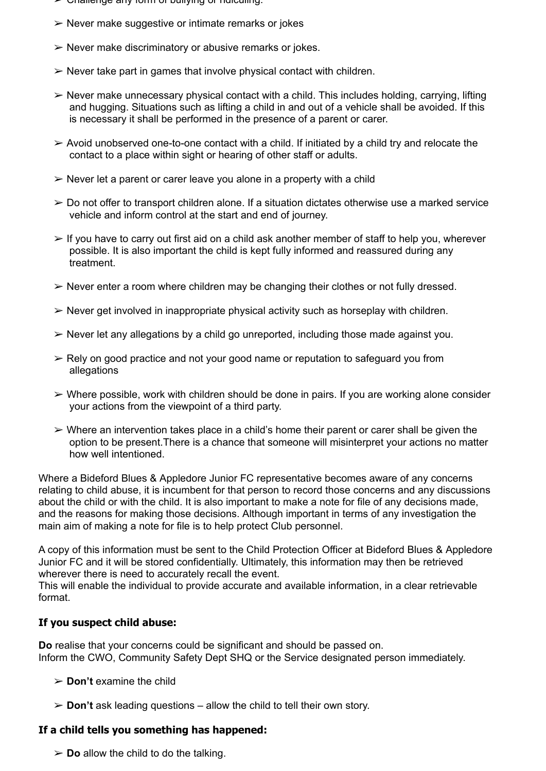- ➢ Challenge any form of bullying or ridiculing.
- $\triangleright$  Never make suggestive or intimate remarks or jokes
- $\triangleright$  Never make discriminatory or abusive remarks or jokes.
- $\triangleright$  Never take part in games that involve physical contact with children.
- $\triangleright$  Never make unnecessary physical contact with a child. This includes holding, carrving. lifting and hugging. Situations such as lifting a child in and out of a vehicle shall be avoided. If this is necessary it shall be performed in the presence of a parent or carer.
- $\geq$  Avoid unobserved one-to-one contact with a child. If initiated by a child try and relocate the contact to a place within sight or hearing of other staff or adults.
- $\triangleright$  Never let a parent or carer leave you alone in a property with a child
- $\geq 0$  Do not offer to transport children alone. If a situation dictates otherwise use a marked service vehicle and inform control at the start and end of journey.
- $\geq$  If you have to carry out first aid on a child ask another member of staff to help you, wherever possible. It is also important the child is kept fully informed and reassured during any treatment.
- $\triangleright$  Never enter a room where children may be changing their clothes or not fully dressed.
- $\triangleright$  Never get involved in inappropriate physical activity such as horseplay with children.
- $\triangleright$  Never let any allegations by a child go unreported, including those made against you.
- $\geq$  Rely on good practice and not your good name or reputation to safeguard you from allegations
- $\triangleright$  Where possible, work with children should be done in pairs. If you are working alone consider your actions from the viewpoint of a third party.
- $\triangleright$  Where an intervention takes place in a child's home their parent or carer shall be given the option to be present.There is a chance that someone will misinterpret your actions no matter how well intentioned.

Where a Bideford Blues & Appledore Junior FC representative becomes aware of any concerns relating to child abuse, it is incumbent for that person to record those concerns and any discussions about the child or with the child. It is also important to make a note for file of any decisions made, and the reasons for making those decisions. Although important in terms of any investigation the main aim of making a note for file is to help protect Club personnel.

A copy of this information must be sent to the Child Protection Officer at Bideford Blues & Appledore Junior FC and it will be stored confidentially. Ultimately, this information may then be retrieved wherever there is need to accurately recall the event.

This will enable the individual to provide accurate and available information, in a clear retrievable format.

### **If you suspect child abuse:**

**Do** realise that your concerns could be significant and should be passed on. Inform the CWO, Community Safety Dept SHQ or the Service designated person immediately.

- ➢ **Don't** examine the child
- ➢ **Don't** ask leading questions allow the child to tell their own story.

### **If a child tells you something has happened:**

 $\triangleright$  **Do** allow the child to do the talking.